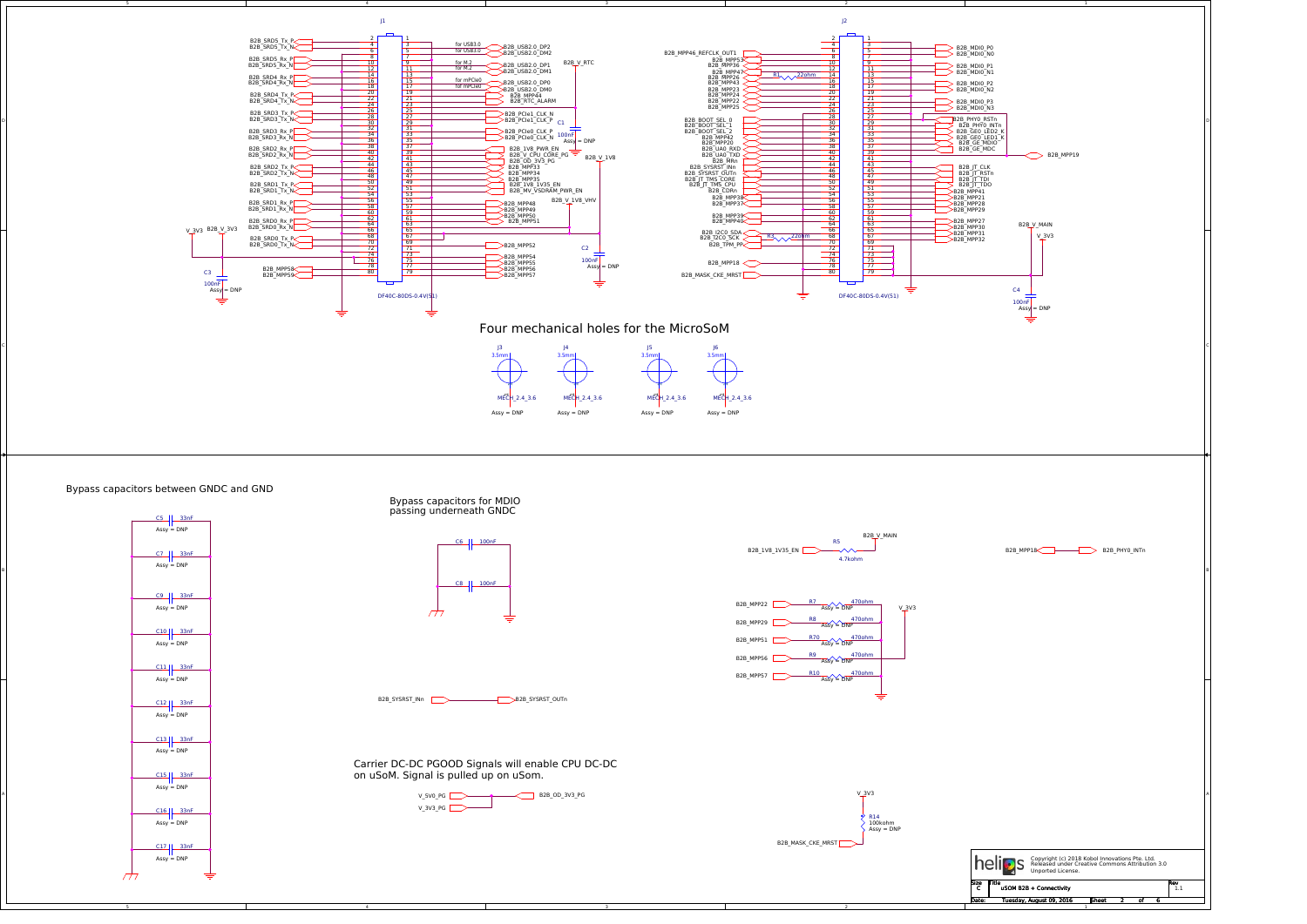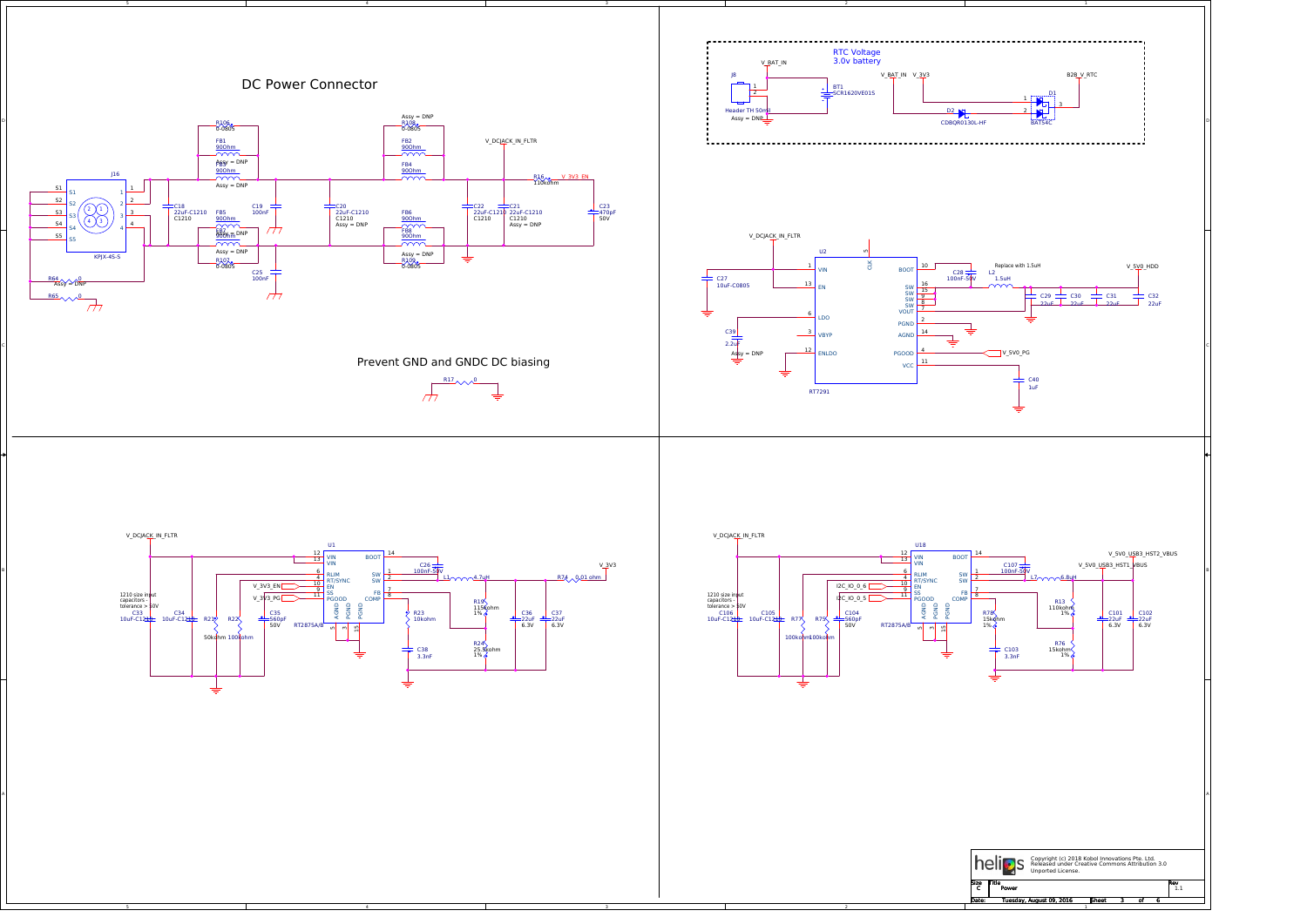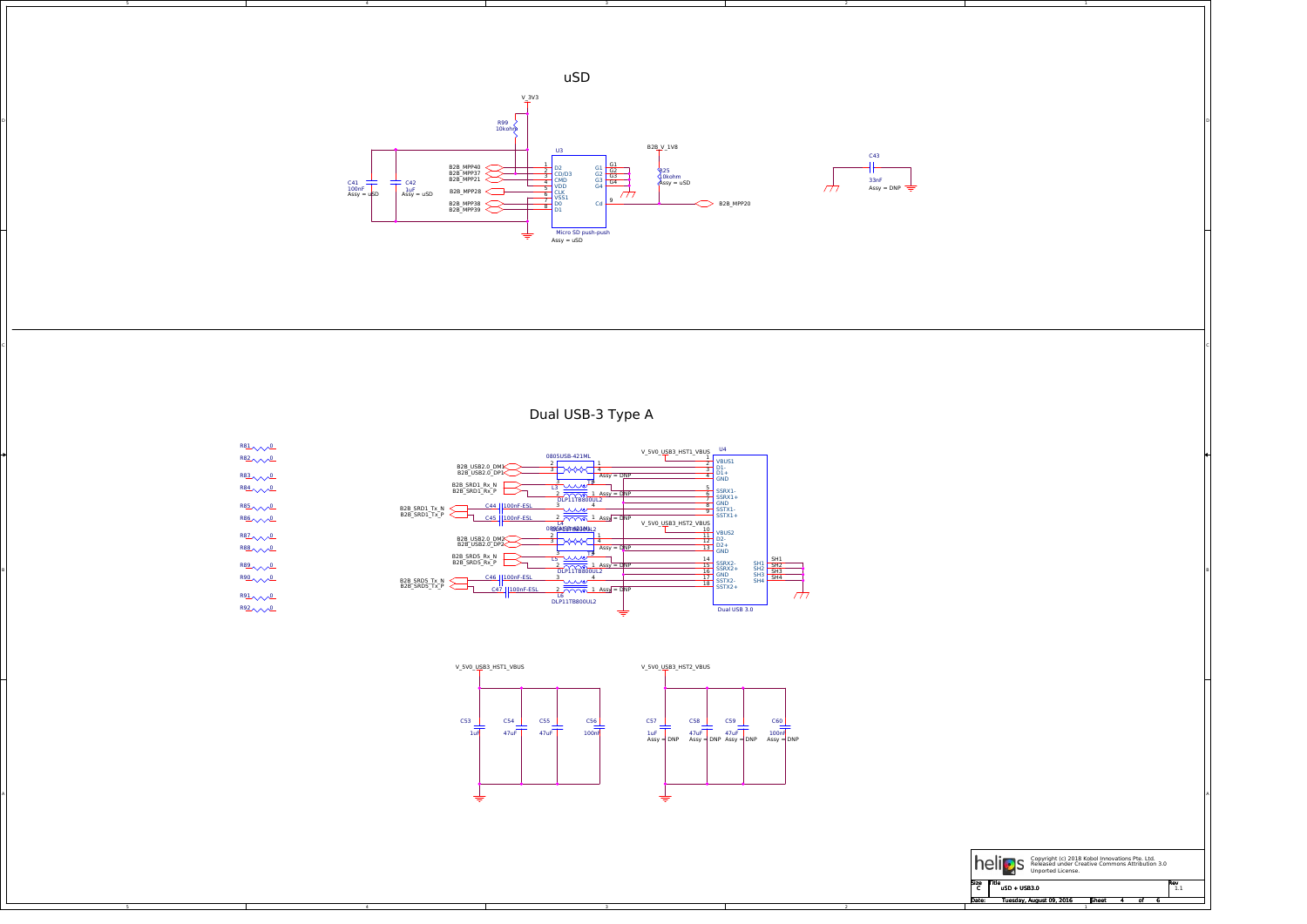5

5

4

4

3

3

2

2





Dual USB-3 Type A



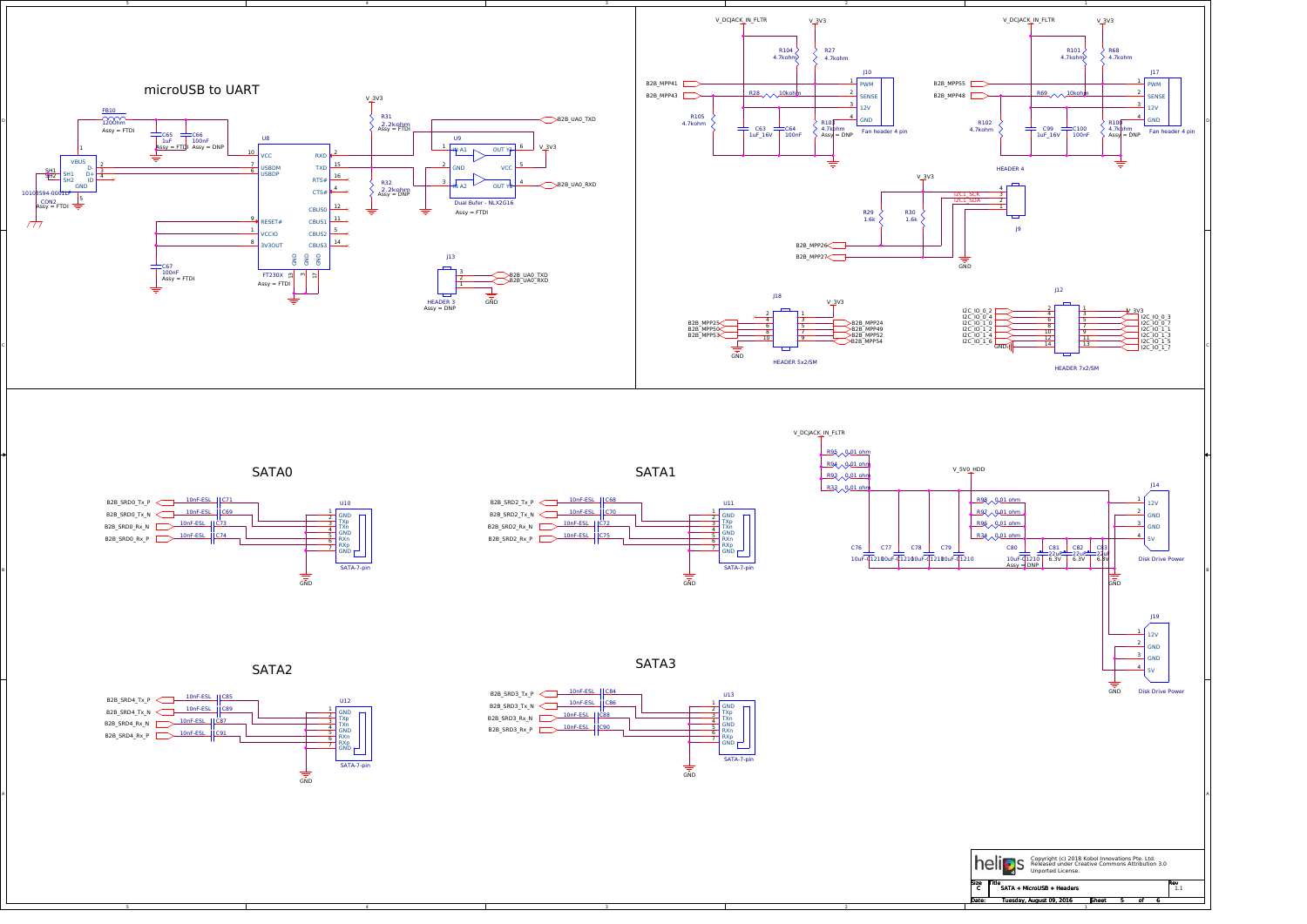5

4

3





SATA2

SATA1

SATA3